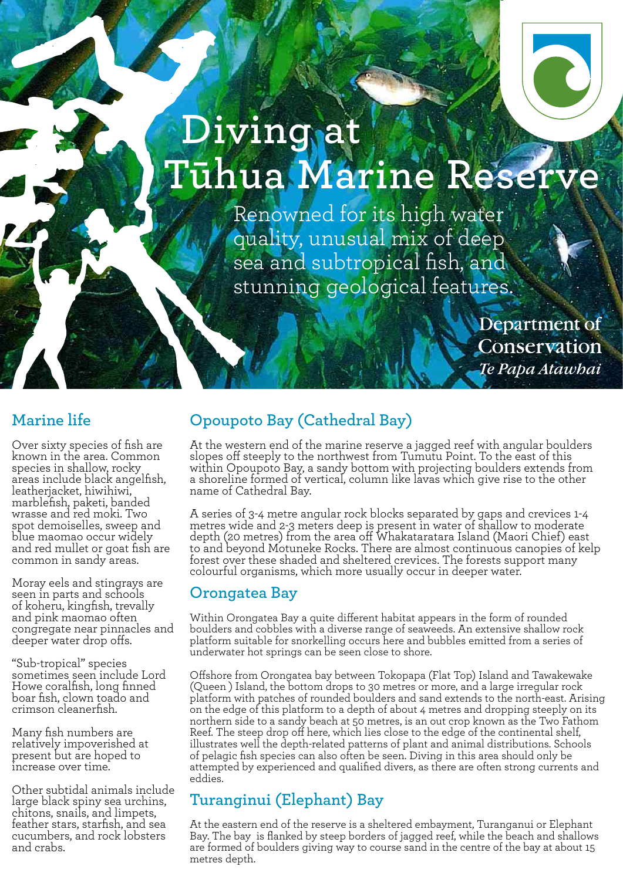# **Diving at Tūhua Marine Reserve**

Renowned for its high water quality, unusual mix of deep sea and subtropical fish, and stunning geological features.

> Department of Conservation Te Papa Atawhai

#### **Marine life**

Over sixty species of fish are known in the area. Common species in shallow, rocky areas include black angelfish, leatherjacket, hiwihiwi, marblefish, paketi, banded wrasse and red moki. Two spot demoiselles, sweep and blue maomao occur widely and red mullet or goat fish are common in sandy areas.

Moray eels and stingrays are seen in parts and schools of koheru, kingfish, trevally and pink maomao often congregate near pinnacles and deeper water drop offs.

"Sub-tropical" species sometimes seen include Lord Howe coralfish, long finned boar fish, clown toado and crimson cleanerfish.

Many fish numbers are relatively impoverished at present but are hoped to increase over time.

Other subtidal animals include large black spiny sea urchins, chitons, snails, and limpets, feather stars, starfish, and sea cucumbers, and rock lobsters and crabs.

### **Opoupoto Bay (Cathedral Bay)**

At the western end of the marine reserve a jagged reef with angular boulders slopes off steeply to the northwest from Tumutu Point. To the east of this within Opoupoto Bay, a sandy bottom with projecting boulders extends from a shoreline formed of vertical, column like lavas which give rise to the other name of Cathedral Bay.

A series of 3-4 metre angular rock blocks separated by gaps and crevices 1-4 metres wide and 2-3 meters deep is present in water of shallow to moderate depth (20 metres) from the area off Whakataratara Island (Maori Chief) east to and beyond Motuneke Rocks. There are almost continuous canopies of kelp forest over these shaded and sheltered crevices. The forests support many colourful organisms, which more usually occur in deeper water.

#### **Orongatea Bay**

Within Orongatea Bay a quite different habitat appears in the form of rounded boulders and cobbles with a diverse range of seaweeds. An extensive shallow rock platform suitable for snorkelling occurs here and bubbles emitted from a series of underwater hot springs can be seen close to shore.

Offshore from Orongatea bay between Tokopapa (Flat Top) Island and Tawakewake (Queen ) Island, the bottom drops to 30 metres or more, and a large irregular rock platform with patches of rounded boulders and sand extends to the north-east. Arising on the edge of this platform to a depth of about 4 metres and dropping steeply on its northern side to a sandy beach at 50 metres, is an out crop known as the Two Fathom Reef. The steep drop off here, which lies close to the edge of the continental shelf, illustrates well the depth-related patterns of plant and animal distributions. Schools of pelagic fish species can also often be seen. Diving in this area should only be attempted by experienced and qualified divers, as there are often strong currents and eddies.

#### **Turanginui (Elephant) Bay**

At the eastern end of the reserve is a sheltered embayment, Turanganui or Elephant Bay. The bay is flanked by steep borders of jagged reef, while the beach and shallows are formed of boulders giving way to course sand in the centre of the bay at about 15 metres depth.